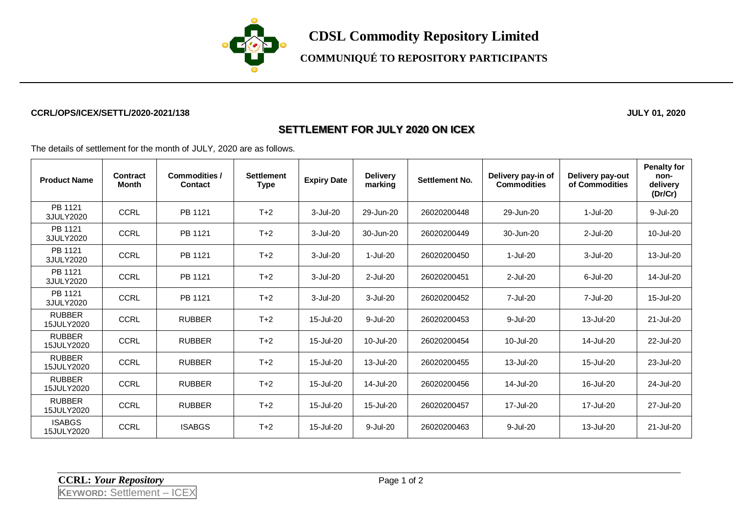

**CDSL Commodity Repository Limited**

## **COMMUNIQUÉ TO REPOSITORY PARTICIPANTS**

#### **CCRL/OPS/ICEX/SETTL/2020-2021/138 JULY 01, 2020**

#### **SETTLEMENT FOR JULY 2020 ON ICEX**

The details of settlement for the month of JULY, 2020 are as follows.

| <b>Product Name</b>         | Contract<br><b>Month</b> | <b>Commodities /</b><br><b>Contact</b> | <b>Settlement</b><br>Type | <b>Expiry Date</b> | <b>Delivery</b><br>marking | Settlement No. | Delivery pay-in of<br><b>Commodities</b> | Delivery pay-out<br>of Commodities | <b>Penalty for</b><br>non-<br>delivery<br>(Dr/Cr) |
|-----------------------------|--------------------------|----------------------------------------|---------------------------|--------------------|----------------------------|----------------|------------------------------------------|------------------------------------|---------------------------------------------------|
| PB 1121<br>3JULY2020        | <b>CCRL</b>              | PB 1121                                | $T+2$                     | 3-Jul-20           | 29-Jun-20                  | 26020200448    | 29-Jun-20                                | 1-Jul-20                           | 9-Jul-20                                          |
| PB 1121<br>3JULY2020        | <b>CCRL</b>              | PB 1121                                | $T+2$                     | 3-Jul-20           | 30-Jun-20                  | 26020200449    | 30-Jun-20                                | $2$ -Jul-20                        | 10-Jul-20                                         |
| PB 1121<br>3JULY2020        | <b>CCRL</b>              | PB 1121                                | $T+2$                     | 3-Jul-20           | $1-Jul-20$                 | 26020200450    | 1-Jul-20                                 | $3 -$ Jul $-20$                    | 13-Jul-20                                         |
| PB 1121<br>3JULY2020        | <b>CCRL</b>              | PB 1121                                | $T+2$                     | 3-Jul-20           | $2$ -Jul- $20$             | 26020200451    | $2$ -Jul-20                              | $6$ -Jul-20                        | 14-Jul-20                                         |
| PB 1121<br>3JULY2020        | <b>CCRL</b>              | PB 1121                                | $T+2$                     | 3-Jul-20           | $3-Jul-20$                 | 26020200452    | 7-Jul-20                                 | 7-Jul-20                           | 15-Jul-20                                         |
| <b>RUBBER</b><br>15JULY2020 | <b>CCRL</b>              | <b>RUBBER</b>                          | $T+2$                     | 15-Jul-20          | 9-Jul-20                   | 26020200453    | 9-Jul-20                                 | 13-Jul-20                          | 21-Jul-20                                         |
| <b>RUBBER</b><br>15JULY2020 | <b>CCRL</b>              | <b>RUBBER</b>                          | $T+2$                     | 15-Jul-20          | 10-Jul-20                  | 26020200454    | 10-Jul-20                                | 14-Jul-20                          | 22-Jul-20                                         |
| <b>RUBBER</b><br>15JULY2020 | <b>CCRL</b>              | <b>RUBBER</b>                          | $T+2$                     | 15-Jul-20          | 13-Jul-20                  | 26020200455    | 13-Jul-20                                | 15-Jul-20                          | 23-Jul-20                                         |
| <b>RUBBER</b><br>15JULY2020 | <b>CCRL</b>              | <b>RUBBER</b>                          | $T+2$                     | 15-Jul-20          | 14-Jul-20                  | 26020200456    | 14-Jul-20                                | 16-Jul-20                          | 24-Jul-20                                         |
| <b>RUBBER</b><br>15JULY2020 | <b>CCRL</b>              | <b>RUBBER</b>                          | $T+2$                     | 15-Jul-20          | 15-Jul-20                  | 26020200457    | 17-Jul-20                                | 17-Jul-20                          | 27-Jul-20                                         |
| <b>ISABGS</b><br>15JULY2020 | <b>CCRL</b>              | <b>ISABGS</b>                          | $T+2$                     | 15-Jul-20          | 9-Jul-20                   | 26020200463    | 9-Jul-20                                 | 13-Jul-20                          | 21-Jul-20                                         |

**CCRL:** *Your Repository* Page 1 of 2 **KEYWORD:** Settlement – ICEX